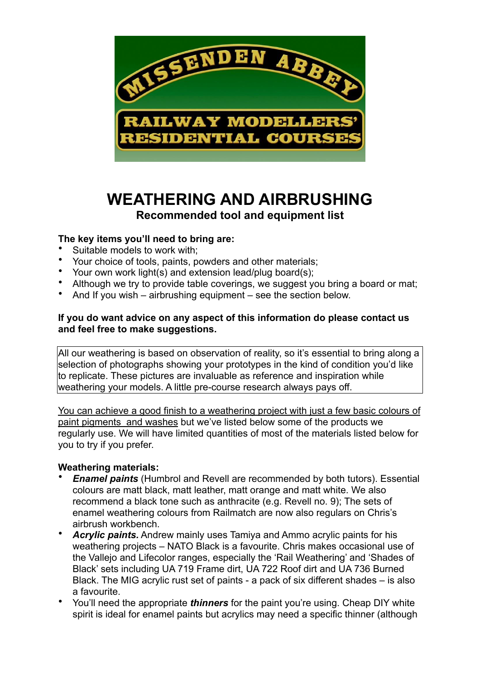

# **WEATHERING AND AIRBRUSHING Recommended tool and equipment list**

## **The key items you'll need to bring are:**

- Suitable models to work with;
- Your choice of tools, paints, powders and other materials;
- Your own work light(s) and extension lead/plug board(s);
- Although we try to provide table coverings, we suggest you bring a board or mat;
- And If you wish airbrushing equipment see the section below.

### **If you do want advice on any aspect of this information do please contact us and feel free to make suggestions.**

All our weathering is based on observation of reality, so it's essential to bring along a selection of photographs showing your prototypes in the kind of condition you'd like to replicate. These pictures are invaluable as reference and inspiration while weathering your models. A little pre-course research always pays off.

You can achieve a good finish to a weathering project with just a few basic colours of paint pigments and washes but we've listed below some of the products we regularly use. We will have limited quantities of most of the materials listed below for you to try if you prefer.

#### **Weathering materials:**

- *Enamel paints* (Humbrol and Revell are recommended by both tutors). Essential colours are matt black, matt leather, matt orange and matt white. We also recommend a black tone such as anthracite (e.g. Revell no. 9); The sets of enamel weathering colours from Railmatch are now also regulars on Chris's airbrush workbench.
- *Acrylic paints.* Andrew mainly uses Tamiya and Ammo acrylic paints for his weathering projects – NATO Black is a favourite. Chris makes occasional use of the Vallejo and Lifecolor ranges, especially the 'Rail Weathering' and 'Shades of Black' sets including UA 719 Frame dirt, UA 722 Roof dirt and UA 736 Burned Black. The MIG acrylic rust set of paints - a pack of six different shades – is also a favourite.
- You'll need the appropriate *thinners* for the paint you're using. Cheap DIY white spirit is ideal for enamel paints but acrylics may need a specific thinner (although